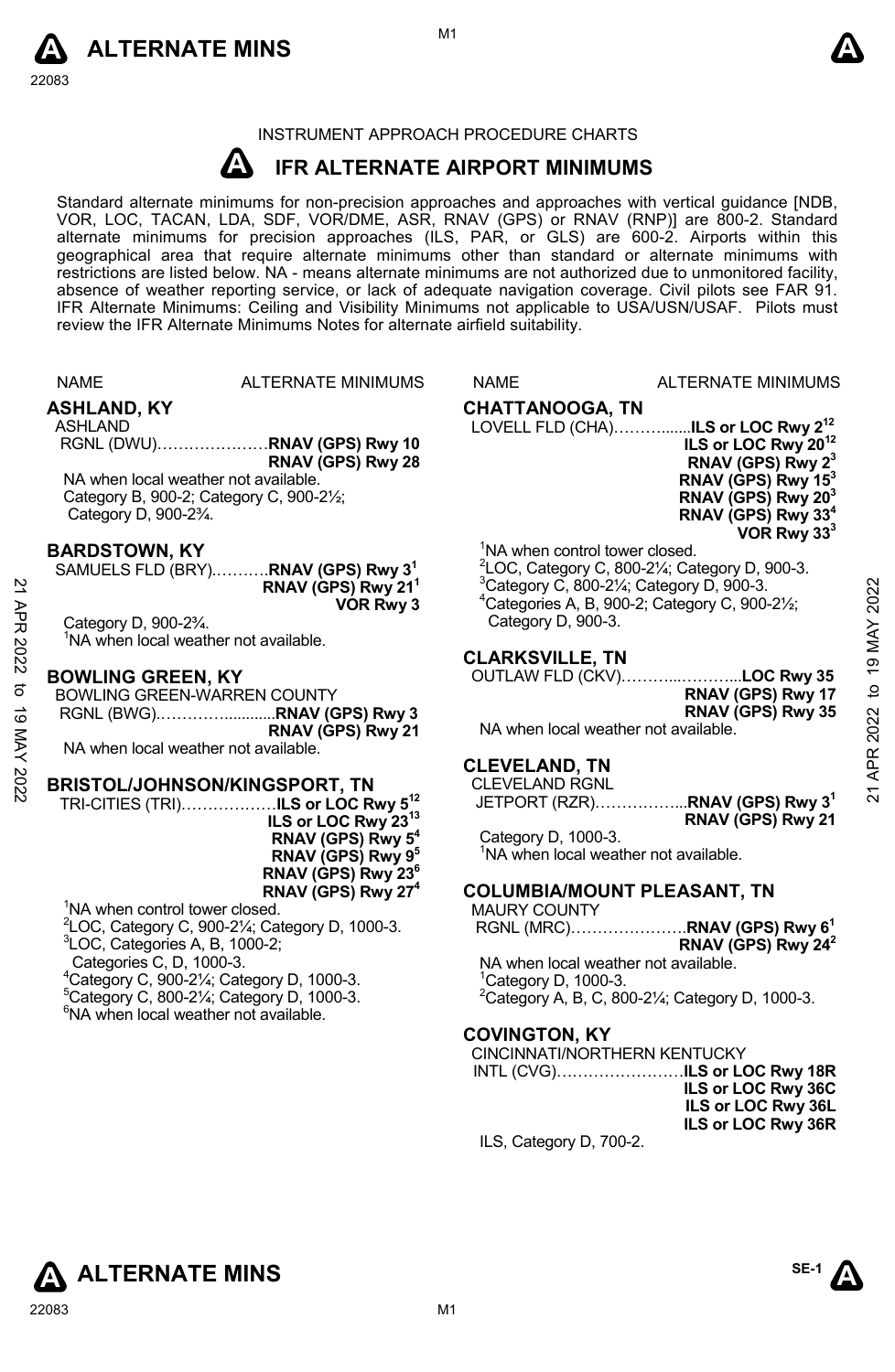



# INSTRUMENT APPROACH PROCEDURE CHARTS

#### **A IFR ALTERNATE AIRPORT MINIMUMS**

Standard alternate minimums for non-precision approaches and approaches with vertical guidance [NDB,<br>VOR, LOC, TACAN, LDA, SDF, VOR/DME, ASR, RNAV (GPS) or RNAV (RNP)] are 800-2. Standard<br>alternate minimums for precision a geographical area that require alternate minimums other than standard or alternate minimums with restrictions are listed below. NA - means alternate minimums are not authorized due to unmonitored facility, absence of weather reporting service, or lack of adequate navigation coverage. Civil pilots see FAR 91. IFR Alternate Minimums: Ceiling and Visibility Minimums not applicable to USA/USN/USAF. Pilots must review the IFR Alternate Minimums Notes for alternate airfield suitability.

|             | <b>NAME</b>                                                                                                                                                                                                                                                                                                   | <b>ALTERNATE MINIMUMS</b>                                                                                                                                                             | <b>NAME</b>                                                             | <b>ALTERNATE MINIMUMS</b>                                                                                                                                                                                                                                                                                                            |
|-------------|---------------------------------------------------------------------------------------------------------------------------------------------------------------------------------------------------------------------------------------------------------------------------------------------------------------|---------------------------------------------------------------------------------------------------------------------------------------------------------------------------------------|-------------------------------------------------------------------------|--------------------------------------------------------------------------------------------------------------------------------------------------------------------------------------------------------------------------------------------------------------------------------------------------------------------------------------|
| APR 2022    | <b>ASHLAND, KY</b><br><b>ASHLAND</b><br>NA when local weather not available.<br>Category B, 900-2; Category C, 900-21/2;<br>Category D, 900-23/4.                                                                                                                                                             | RGNL (DWU)RNAV (GPS) Rwy 10<br>RNAV (GPS) Rwy 28                                                                                                                                      | <b>CHATTANOOGA, TN</b>                                                  | ILS or LOC Rwy 20 <sup>12</sup><br>RNAV (GPS) Rwy 2 <sup>3</sup><br>RNAV (GPS) Rwy 15 <sup>3</sup><br>RNAV (GPS) Rwy 20 <sup>3</sup><br>RNAV (GPS) Rwy 33 <sup>4</sup><br>VOR Rwy 33 <sup>3</sup>                                                                                                                                    |
|             | <b>BARDSTOWN, KY</b><br>Category D, 900-23/4.<br><sup>1</sup> NA when local weather not available.                                                                                                                                                                                                            | SAMUELS FLD (BRY)RNAV (GPS) Rwy 3 <sup>1</sup><br>RNAV (GPS) Rwy 21 <sup>1</sup><br>VOR Rwy 3                                                                                         | Category D, 900-3.                                                      | <sup>1</sup> NA when control tower closed.<br>$2$ LOC, Category C, 800-2 $\frac{1}{4}$ ; Category D, 900-3.<br>2022<br>$3$ Category C, 800-2 $\frac{1}{4}$ ; Category D, 900-3.<br><sup>4</sup> Categories A, B, 900-2; Category C, 900-21/ <sub>2</sub> ;                                                                           |
| ರ           | <b>BOWLING GREEN, KY</b><br>BOWLING GREEN-WARREN COUNTY<br>NA when local weather not available.                                                                                                                                                                                                               | RGNL (BWG)RNAV (GPS) Rwy 3<br>RNAV (GPS) Rwy 21                                                                                                                                       | <b>CLARKSVILLE, TN</b>                                                  | <b>19 MAY</b><br>OUTLAW FLD (CKV)LOC Rwy 35<br>RNAV (GPS) Rwy 17<br>2022<br>RNAV (GPS) Rwy 35<br>NA when local weather not available.                                                                                                                                                                                                |
| 19 MAY 2022 | <b>BRISTOL/JOHNSON/KINGSPORT, TN</b>                                                                                                                                                                                                                                                                          | TRI-CITIES (TRI)ILS or LOC Rwy 5 <sup>12</sup><br>ILS or LOC Rwy 23 <sup>13</sup><br>RNAV (GPS) Rwy 5 <sup>4</sup><br>RNAV (GPS) Rwy 9 <sup>5</sup><br>RNAV (GPS) Rwy 23 <sup>6</sup> | <b>CLEVELAND, TN</b><br><b>CLEVELAND RGNL</b><br>Category D, 1000-3.    | APR:<br>JETPORT (RZR)RNAV (GPS) Rwy 3 <sup>1</sup><br>RNAV (GPS) Rwy 21<br><sup>1</sup> NA when local weather not available.                                                                                                                                                                                                         |
|             | <sup>1</sup> NA when control tower closed.<br><sup>3</sup> LOC, Categories A, B, 1000-2;<br>Categories C, D, 1000-3.<br><sup>4</sup> Category C, 900-21/ <sub>4</sub> ; Category D, 1000-3.<br>$5$ Category C, 800-2 $\frac{1}{4}$ ; Category D, 1000-3.<br><sup>6</sup> NA when local weather not available. | RNAV (GPS) Rwy 27 <sup>4</sup><br>$2$ LOC, Category C, 900-2 $\frac{1}{4}$ ; Category D, 1000-3.                                                                                      | <b>MAURY COUNTY</b><br>$^1$ Category D, 1000-3.<br><b>COVINGTON, KY</b> | <b>COLUMBIA/MOUNT PLEASANT, TN</b><br>RGNL (MRC)RNAV (GPS) Rwy 6 <sup>1</sup><br>RNAV (GPS) Rwy $24^2$<br>NA when local weather not available.<br><sup>2</sup> Category A, B, C, 800-21/ <sub>4</sub> ; Category D, 1000-3.<br><b>CINCINNATI/NORTHERN KENTUCKY</b><br>ILS or LOC Rwy 36C<br>ILS or LOC Rwy 36L<br>ILS or LOC Rwy 36R |
|             |                                                                                                                                                                                                                                                                                                               |                                                                                                                                                                                       | ILS, Category D, 700-2.                                                 |                                                                                                                                                                                                                                                                                                                                      |

# **ALTERNATE MINS**

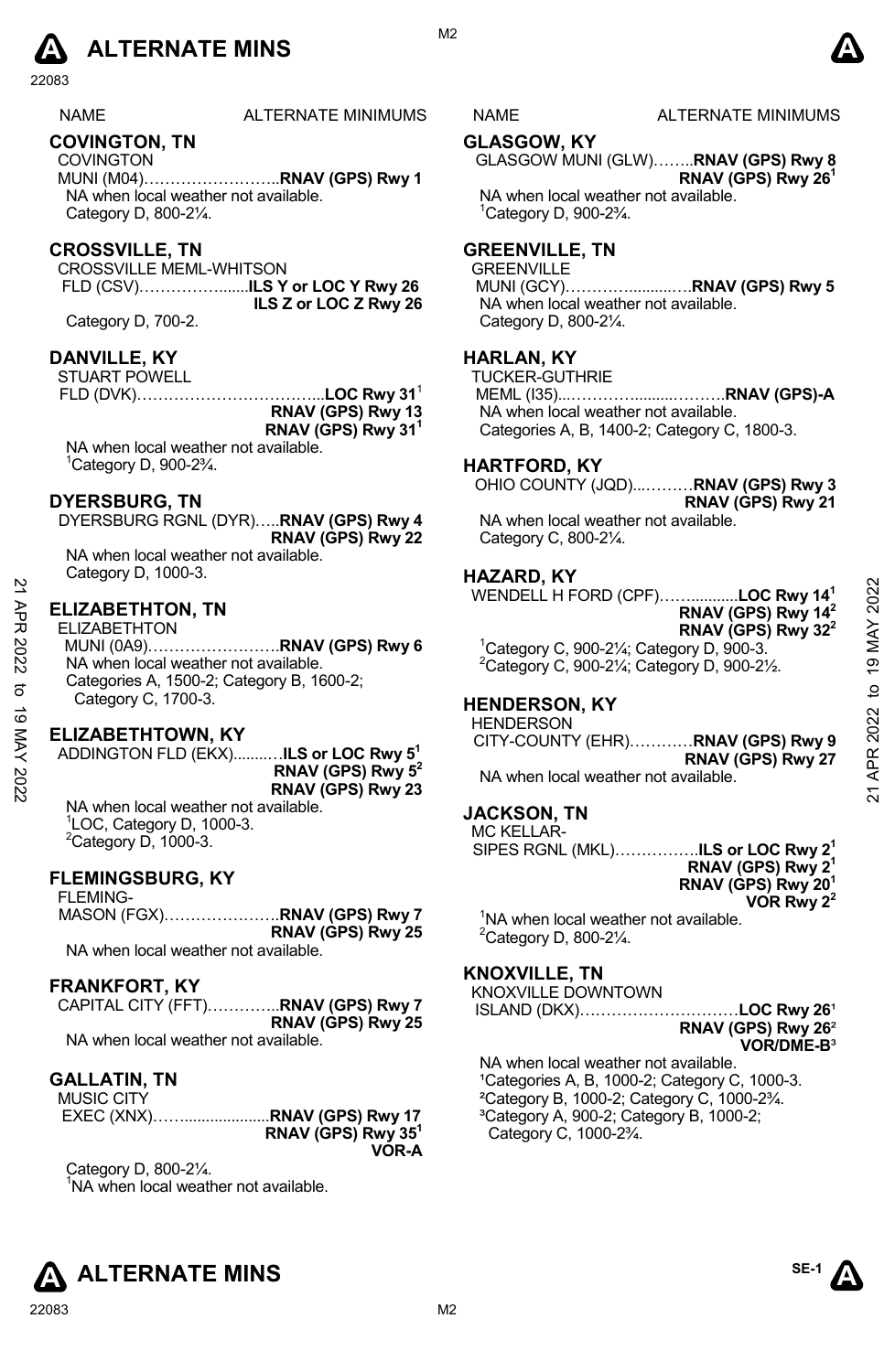

NAME ALTERNATE MINIMUMS NAME ALTERNATE MINIMUMS

# **COVINGTON, TN**

COVINGTON MUNI (M04)……………………..**RNAV (GPS) Rwy 1**  NA when local weather not available. Category D, 800-2¼.

#### **CROSSVILLE, TN**

CROSSVILLE MEML-WHITSON FLD (CSV)…………….......**ILS Y or LOC Y Rwy 26 ILS Z or LOC Z Rwy 26** 

Category D, 700-2.

# **DANVILLE, KY**

STUART POWELL

FLD (DVK)……………………………...**LOC Rwy 31**<sup>1</sup> **RNAV (GPS) Rwy 13 RNAV (GPS) Rwy 311**  NA when local weather not available.

1 Category D, 900-2¾.

#### **DYERSBURG, TN**

DYERSBURG RGNL (DYR)…..**RNAV (GPS) Rwy 4 RNAV (GPS) Rwy 22**  NA when local weather not available.

Category D, 1000-3.

#### **ELIZABETHTON, TN**

ELIZABETHTON

MUNI (0A9)…………………….**RNAV (GPS) Rwy 6**  NA when local weather not available. Categories A, 1500-2; Category B, 1600-2; Category C, 1700-3. 21 APR 2022 to 19 MAY 202221 APR 2022 to 19 MAY 2022

#### **ELIZABETHTOWN, KY**

ADDINGTON FLD (EKX)........…**ILS or LOC Rwy 51 RNAV (GPS) Rwy 52 RNAV (GPS) Rwy 23** NA when local weather not available.

1 LOC, Category D, 1000-3.  $2$ Category D, 1000-3.

# **FLEMINGSBURG, KY**

FLEMING-MASON (FGX)………………….**RNAV (GPS) Rwy 7 RNAV (GPS) Rwy 25**  NA when local weather not available.

#### **FRANKFORT, KY**

|                                      | CAPITAL CITY (FFT) <b>RNAV (GPS) Rwy 7</b> |
|--------------------------------------|--------------------------------------------|
|                                      | RNAV (GPS) Rwy 25                          |
| NA when local weather not available. |                                            |

#### **GALLATIN, TN**

| <b>MUSIC CITY</b> |                      |
|-------------------|----------------------|
|                   |                      |
|                   | RNAV (GPS) Rwy $351$ |
|                   | VOR-A                |

Category D, 800-2¼. <sup>1</sup>NA when local weather not available.

#### **GLASGOW, KY**

GLASGOW MUNI (GLW)……..**RNAV (GPS) Rwy 8 RNAV (GPS) Rwy 261** 

NA when local weather not available. 1 Category D, 900-2¾.

#### **GREENVILLE, TN**

**GREENVILLE**  MUNI (GCY)…………..........….**RNAV (GPS) Rwy 5** NA when local weather not available. Category D, 800-2¼.

### **HARLAN, KY**

TUCKER-GUTHRIE MEML (I35)...………….........……….**RNAV (GPS)-A**  NA when local weather not available. Categories A, B, 1400-2; Category C, 1800-3.

# **HARTFORD, KY**

OHIO COUNTY (JQD)...………**RNAV (GPS) Rwy 3** 

**RNAV (GPS) Rwy 21**  NA when local weather not available.

Category C, 800-2¼.

#### **HAZARD, KY**

WENDELL H FORD (CPF)……...........**LOC Rwy 141 RNAV (GPS) Rwy 142 RNAV (GPS) Rwy 322**   $1$ Category C, 900-2¼; Category D, 900-3.

2 Category C, 900-2¼; Category D, 900-2½.

# **HENDERSON, KY**

**HENDERSON** CITY-COUNTY (EHR)…………**RNAV (GPS) Rwy 9 RNAV (GPS) Rwy 27**  NA when local weather not available.

### **JACKSON, TN**

MC KELLAR-SIPES RGNL (MKL)…………….**ILS or LOC Rwy 21 RNAV (GPS) Rwy 21 RNAV (GPS) Rwy 201 VOR Rwy 22** 

<sup>1</sup>NA when local weather not available.  $2$ Category D, 800-2 $\frac{1}{4}$ .

# **KNOXVILLE, TN**

KNOXVILLE DOWNTOWN ISLAND (DKX)…………………………**LOC Rwy 26**¹ **RNAV (GPS) Rwy 26**²

NA when local weather not available. <sup>1</sup>Categories A, B, 1000-2; Category C, 1000-3. ²Category B, 1000-2; Category C, 1000-2¾. ³Category A, 900-2; Category B, 1000-2; Category C, 1000-2¾.



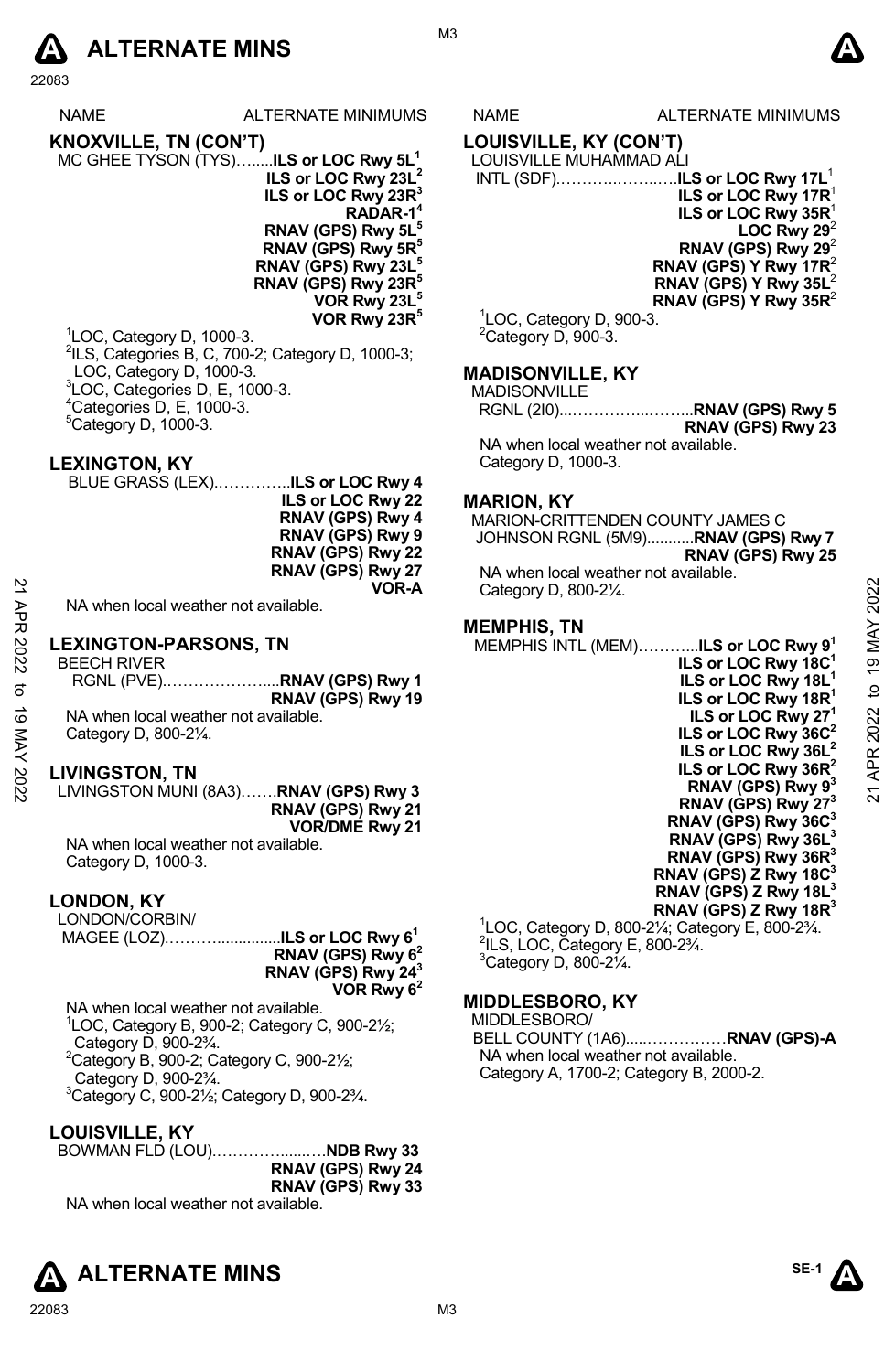

NAME ALTERNATE MINIMUMS NAME ALTERNATE MINIMUMS **KNOXVILLE, TN (CON'T)**  MC GHEE TYSON (TYS)….....**ILS or LOC Rwy 5L1 ILS or LOC Rwy 23L2 ILS or LOC Rwy 23R3 RADAR-14 RNAV (GPS) Rwy 5L5 RNAV (GPS) Rwy 5R5 RNAV (GPS) Rwy 23L5 RNAV (GPS) Rwy 23R5 VOR Rwy 23L5 VOR Rwy 23R5**  1 LOC, Category D, 1000-3.

<sup>2</sup>ILS, Categories B, C, 700-2; Category D, 1000-3; LOC, Category D, 1000-3. 3 LOC, Categories D, E, 1000-3.  $4$ Categories D, E, 1000-3.  $5$ Category D, 1000-3.

#### **LEXINGTON, KY**

BLUE GRASS (LEX).…………..**ILS or LOC Rwy 4 ILS or LOC Rwy 22 RNAV (GPS) Rwy 4 RNAV (GPS) Rwy 9 RNAV (GPS) Rwy 22 RNAV (GPS) Rwy 27 VOR-A** 

NA when local weather not available.

#### **LEXINGTON-PARSONS, TN**

BEECH RIVER RGNL (PVE).………………....**RNAV (GPS) Rwy 1 RNAV (GPS) Rwy 19**  NA when local weather not available. Category D, 800-2¼. NA when local weather not available.<br>
22 **IEXINGTON-PARSONS, TN**<br>
22 **IEXINGTON-PARSONS, TN**<br>
22 **IEXINGTON-PARSONS, TN**<br>
23 **IEXINGTON-PARSONS, TN**<br>
23 **ILS or LOC Rwy 18C<sup>1</sup><br>
22 <b>ILS or LOC Rwy 18C<sup>1</sup><br>
22 <b>ILS or LOC Rw** 

#### **LIVINGSTON, TN**

LIVINGSTON MUNI (8A3)…….**RNAV (GPS) Rwy 3 RNAV (GPS) Rwy 21 VOR/DME Rwy 21** 

NA when local weather not available. Category D, 1000-3.

#### **LONDON, KY**

LONDON/CORBIN/ MAGEE (LOZ).………...............**ILS or LOC Rwy 61 RNAV (GPS) Rwy 62 RNAV (GPS) Rwy 243 VOR Rwy 62** 

NA when local weather not available. 1 LOC, Category B, 900-2; Category C, 900-2½; Category D, 900-2¾.  ${}^{2}$ Category B, 900-2; Category C, 900-2 $\frac{1}{2}$ ; Category D, 900-2¾. 3 Category C, 900-2½; Category D, 900-2¾.

#### **LOUISVILLE, KY**

BOWMAN FLD (LOU).…………......….**NDB Rwy 33 RNAV (GPS) Rwy 24 RNAV (GPS) Rwy 33**  NA when local weather not available.



# **LOUISVILLE, KY (CON'T)**

#### LOUISVILLE MUHAMMAD ALI

 INTL (SDF).………..……..….**ILS or LOC Rwy 17L**<sup>1</sup> **ILS or LOC Rwy 17R**<sup>1</sup> **ILS or LOC Rwy 35R**<sup>1</sup> **LOC Rwy 29 RNAV (GPS) Rwy 29**<sup>2</sup> **RNAV (GPS) Y Rwy 17R**<sup>2</sup> **RNAV (GPS) Y Rwy 35L**<sup>2</sup> **RNAV (GPS) Y Rwy 35R**<sup>2</sup>

<sup>1</sup>LOC, Category D, 900-3.  ${}^{2}$ Category D, 900-3.

#### **MADISONVILLE, KY**

| <b>MADISONVILLE</b> |                   |
|---------------------|-------------------|
|                     |                   |
|                     | RNAV (GPS) Rwy 23 |

NA when local weather not available. Category D, 1000-3.

#### **MARION, KY**

MARION-CRITTENDEN COUNTY JAMES C JOHNSON RGNL (5M9)...........**RNAV (GPS) Rwy 7 RNAV (GPS) Rwy 25**  NA when local weather not available. Category D, 800-2¼.

#### **MEMPHIS, TN**

MEMPHIS INTL (MEM)………...**ILS or LOC Rwy 91** 

**ILS or LOC Rwy 18C1 ILS or LOC Rwy 18L1 ILS or LOC Rwy 18R1 ILS or LOC Rwy 271 ILS or LOC Rwy 36C2 ILS or LOC Rwy 36L2 ILS or LOC Rwy 36R2 RNAV (GPS) Rwy 93 RNAV (GPS) Rwy 273 RNAV (GPS) Rwy 36C3 RNAV (GPS) Rwy 36L3 RNAV (GPS) Rwy 36R3 RNAV (GPS) Z Rwy 18C3 RNAV (GPS) Z Rwy 18L3** 

**RNAV (GPS) Z Rwy 18R3**  <sup>1</sup>LOC, Category D, 800-2¼; Category E, 800-2¾.<br><sup>2</sup>ll S, LOC, Category E, 800, 23⁄  $2$ ILS, LOC, Category E, 800-2 $\frac{3}{4}$ .  $3$ Category D, 800-2 $\frac{1}{4}$ .

#### **MIDDLESBORO, KY**

MIDDLESBORO/

BELL COUNTY (1A6).....……………**RNAV (GPS)-A**  NA when local weather not available. Category A, 1700-2; Category B, 2000-2.



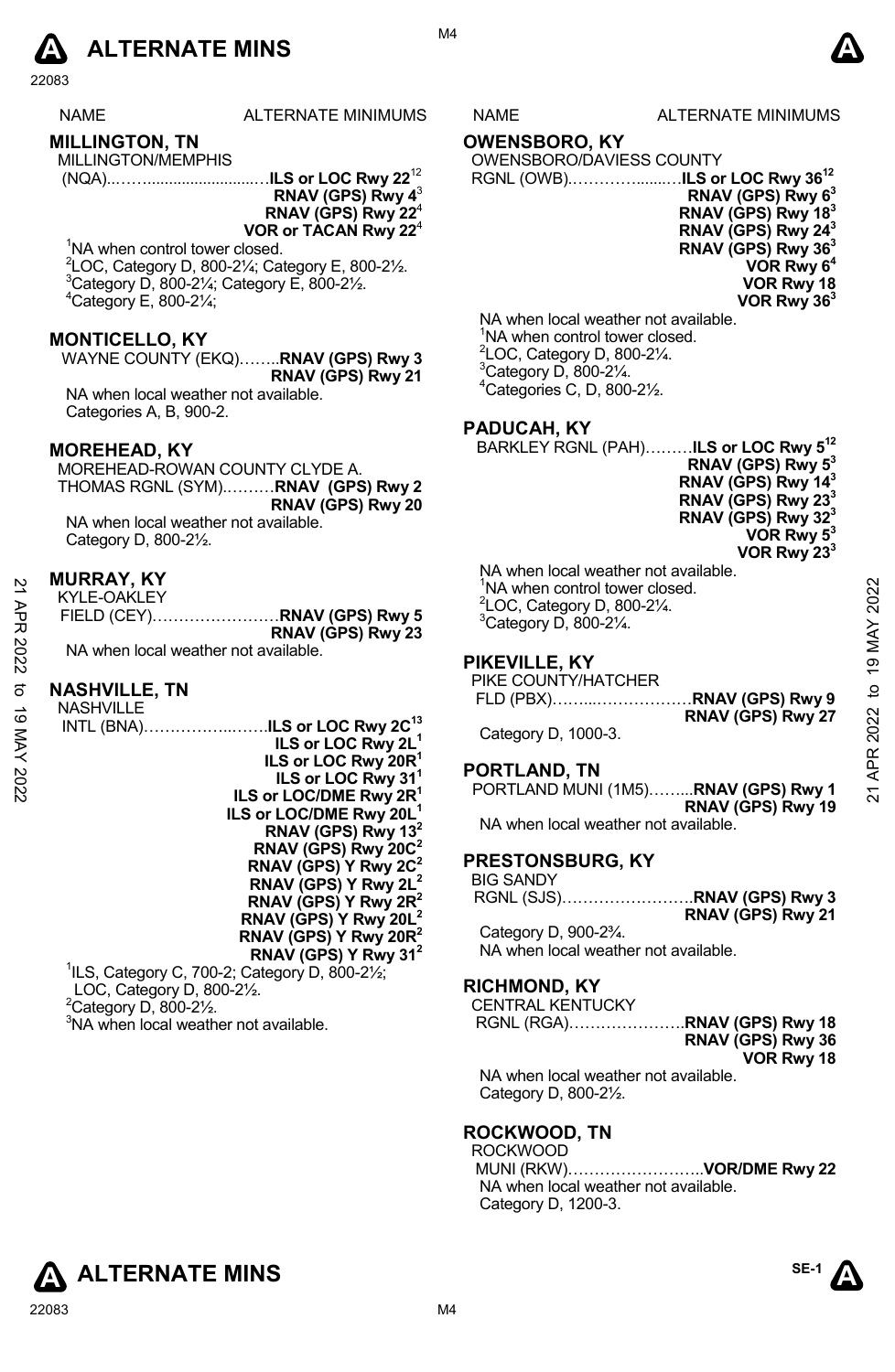

### **MILLINGTON, TN**

MILLINGTON/MEMPHIS (NQA)..…….........................…**ILS or LOC Rwy 22**<sup>12</sup>

**RNAV (GPS) Rwy 4**<sup>3</sup> **RNAV (GPS) Rwy 22**<sup>4</sup> **VOR or TACAN Rwy 22**<sup>4</sup>

<sup>1</sup>NA when control tower closed. 2 LOC, Category D, 800-2¼; Category E, 800-2½. 3  ${}^{3}$ Category D, 800-21⁄4; Category E, 800-21⁄2.  $^{4}$ Category E, 800-2 $\frac{1}{4}$ ;

#### **MONTICELLO, KY**

WAYNE COUNTY (EKQ)……..**RNAV (GPS) Rwy 3 RNAV (GPS) Rwy 21**  NA when local weather not available. Categories A, B, 900-2.

#### **MOREHEAD, KY**

MOREHEAD-ROWAN COUNTY CLYDE A. THOMAS RGNL (SYM).………**RNAV (GPS) Rwy 2 RNAV (GPS) Rwy 20**  NA when local weather not available. Category D, 800-2½.

#### **MURRAY, KY**

| KYLE-OAKLEY                          |                   |
|--------------------------------------|-------------------|
|                                      |                   |
|                                      | RNAV (GPS) Rwy 23 |
| NA when local weather not available. |                   |

#### **NASHVILLE, TN**

| $\tilde{z}$ | <b>WURRAI, NI</b>                         | 'NA when control tower closed.             |           |
|-------------|-------------------------------------------|--------------------------------------------|-----------|
|             | KYLE-OAKLEY                               | $2$ LOC, Category D, 800-2 $\frac{1}{4}$ . | 2022      |
| ЯPR         |                                           |                                            |           |
|             | RNAV (GPS) Rwy 23                         | <sup>3</sup> Category D, 800-21/4.         | 19 MAY    |
|             | NA when local weather not available.      |                                            |           |
| 2022        |                                           | PIKEVILLE, KY                              |           |
|             |                                           | PIKE COUNTY/HATCHER                        |           |
| ಕ           | <b>NASHVILLE, TN</b>                      |                                            |           |
| ಠ           | <b>NASHVILLE</b>                          | RNAV (GPS) Rwy 27                          |           |
|             | INTL (BNA)ILS or LOC Rwy 2C <sup>13</sup> |                                            | $2022$ to |
|             | ILS or LOC Rwy 2L <sup>1</sup>            | Category D, 1000-3.                        |           |
| MAY 2022    | ILS or LOC Rwy 20R <sup>1</sup>           |                                            | APR       |
|             | ILS or LOC Rwy 31 <sup>1</sup>            | PORTLAND, TN                               |           |
|             | ILS or LOC/DME Rwy 2R <sup>1</sup>        | PORTLAND MUNI (1M5)RNAV (GPS) Rwy 1        | ম         |
|             | ILS or LOC/DME Rwy 20L <sup>1</sup>       | RNAV (GPS) Rwy 19                          |           |
|             |                                           | NA when local weather not available.       |           |
|             | RNAV (GPS) Rwy 13 <sup>2</sup>            |                                            |           |
|             | RNAV (GPS) Rwy 20C <sup>2</sup>           | <b>PRESTONSBURG, KY</b>                    |           |
|             | RNAV (GPS) Y Rwy 2C <sup>2</sup>          |                                            |           |
|             | RNAV (GPS) Y Rwy $2L^2$                   | <b>BIG SANDY</b>                           |           |
|             | RNAV (GPS) Y Rwy $2R^2$                   |                                            |           |
|             | RNAV (GPS) Y Rwy 20 $L^2$                 | RNAV (GPS) Rwy 21                          |           |
|             | RNAV (GPS) Y Rwy 20 $R^2$                 | Category D, 900-23/4.                      |           |
|             | RNAV (GPS) Y Rwy 31 <sup>2</sup>          | NA when local weather not available.       |           |
|             |                                           |                                            |           |

1 ILS, Category C, 700-2; Category D, 800-2½; LOC, Category D, 800-2½.  $2$ Category D, 800-2 $\frac{1}{2}$ . <sup>3</sup>NA when local weather not available.

S NAME ALTERNATE MINIMUMS

M4

#### **OWENSBORO, KY**

OWENSBORO/DAVIESS COUNTY

RGNL (OWB).………….......…**ILS or LOC Rwy 3612 RNAV (GPS) Rwy 63 RNAV (GPS) Rwy 183 RNAV (GPS) Rwy 243 RNAV (GPS) Rwy 363 VOR Rwy 64 VOR Rwy 18 VOR Rwy 363** 

NA when local weather not available. <sup>1</sup>NA when control tower closed.  $2^2$ LOC, Category D, 800-2 $\frac{1}{4}$ .  $3$ Category D, 800-2 $\frac{1}{4}$ . 4 Categories C, D, 800-2½.

#### **PADUCAH, KY**

BARKLEY RGNL (PAH)………**ILS or LOC Rwy 512 RNAV (GPS) Rwy 53 RNAV (GPS) Rwy 143 RNAV (GPS) Rwy 233 RNAV (GPS) Rwy 323** 

**VOR Rwy 53 VOR Rwy 233** 

NA when local weather not available. <sup>1</sup>NA when control tower closed.  $2^2$ LOC, Category D, 800-2 $\frac{1}{4}$ .  $3$ Category D, 800-2 $\frac{1}{4}$ .

### **PIKEVILLE, KY**

| PIKE COUNTY/HATCHER |                   |
|---------------------|-------------------|
|                     |                   |
|                     | RNAV (GPS) Rwy 27 |

#### **PORTLAND, TN**

# **PRESTONSBURG, KY**

#### **RICHMOND, KY**

CENTRAL KENTUCKY RGNL (RGA)………………….**RNAV (GPS) Rwy 18** 

**RNAV (GPS) Rwy 36 VOR Rwy 18** 

NA when local weather not available. Category D, 800-2½.

# **ROCKWOOD, TN**

ROCKWOOD MUNI (RKW)……………………..**VOR/DME Rwy 22**  NA when local weather not available. Category D, 1200-3.